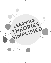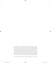Sara Miller McCune founded SAGE Publishing in 1965 to support the dissemination of usable knowledge and educate a global community. SAGE publishes more than 1000 journals and over 800 new books each year, spanning a wide range of subject areas. Our growing selection of library products includes archives, data, case studies and video. SAGE remains majority owned by our founder and after her lifetime will become owned by a charitable trust that secures the company's continued independence.

 $\bigoplus$ 

Los Angeles | London | New Delhi | Singapore | Washington DC | Melbourne

 $\bigoplus$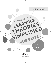

⊕

Los Angeles | London | New Delhi EUS Angeles | London | New Denn<br>Singapore | Washington DC | Melbourne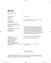

Los Angeles | London | New Delhi Singapore | Washington DC | Melbourne

SAGE Publications Ltd 1 Oliver's Yard 55 City Road London EC1Y 1SP

Publisher James Clark

♠

SAGE Publications Inc. 2455 Teller Road Thousand Oaks, California 91320

SAGE Publications India Pvt Ltd B 1/I 1 Mohan Cooperative Industrial Area Mathura Road New Delhi 110 044

SAGE Publications Asia-Pacific Pte Ltd 3 Church Street #10-04 Samsung Hub Singapore 049483

© Bob Bates 2019

⊕

First edition published 2015, reprinted four times in 2016, three times in 2017 & twice in 2018

Apart from any fair dealing for the purposes of research or private study, or criticism or review, as permitted under the Copyright, Designs and Patents Act, 1988, this publication may be reproduced, stored or transmitted in any form, or by any means, only with the prior permission in writing of the publishers, or in the case of reprographic reproduction, in accordance with the terms of licences issued by the Copyright Licensing Agency. Enquiries concerning reproduction outside those terms should be sent to the publishers.

**Library of Congress Control Number: 2018947503**

**British Library Cataloguing in Publication data**

Editorial assistant: Diana Alves Production editor: Nicola Carrier Copyeditor: Christine Bitten Proofreader: Tom Bedford Indexer: Cathy Heath Marketing manager: Dilhara Attygalle Cover design: Naomi Robinson Typeset by: C&M Digitals (P) Ltd, Chennai, India Printed in the UK

A catalogue record for this book is available from the British Library

ISBN 978-1-5264-5937-4 ISBN 978-1-5264-5938-1 (pbk)

At SAGE we take sustainability seriously. Most of our products are printed in the UK using responsibly sourced papers and boards. When we print overseas we ensure sustainable papers are used as measured by the PREPS grading system. We undertake an annual audit to monitor our sustainability.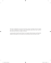This book is dedicated to my wife, who has been a tower of strength and never moaned once when I disappeared at 5:00am to grab a McDonald's latte and four hours' worth of their electricity to work on a chapter in the book.

 $\bigoplus$ 

I would also like to thank the staff at New Cross Hospital in Wolverhampton and Heartlands Hospital in Birmingham for the excellent care and attention they have shown my wife.

 $\bigoplus$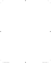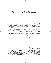# **Praise for Bob's work**

⊕

'*Learning Theories Simplified* is a wonderful book. It is an excellent example of sparking motivation to learn the subject. Even though I've always been interested in how people think and learn, reading his book makes me excited about continuing reading it.'

Valeriy Kozmenko – Associate Professor: Department of Internal Medicine, University of South Dakota

'I have a bookshelf of management and coaching books. Bob's first book has pride of place. I look forward to the next one.'

Jo Morgan – Managing Director: Charlie's Training Academy

 'I'm fascinated by how Bob is able to reduce complicated theory into so few words and make its understanding and application easy to follow.'

Gary Bird – CEO: Manor Farm Community College

'Bob's humour and fascinating insights into life and learning is what makes this book work so well.'

Trevor Cox – Managing Director: Phoenix Training

'Before I read the chapter in the book on Vygotsky, I never knew what the Zone of Proximal Development was. Bob makes it seem so simple to understand.'

Summiah Habib – Student on the Diploma in Education & Training

'I wish that I'd had this book when I did my degree in Educational Studies.'

Joy Cotterill – Higher Level Teaching Assistant & Community Cohesion Leader: Crockett's Community Primary School

'Both of the 'Special Needs and Disabilities' books and the original *Learning Theories Simplified* book are life savers throughout my studies and I'm excited to continue reading your work! I'd personally like to thank you for being such a big help during my first two years of university, and I know I will religiously rely on your books throughout my teaching career!' Kelsey Banks BA (Hons) – Primary Education Student at Wolverhampton University

♠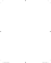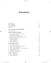# **Contents**

 $\bigoplus$ 

| About the author<br>Acknowledgements<br>New to this edition<br>How to use this book    | XV<br>xvii<br>xix<br>xxi                                                                                                                                                                                                                                                                                      |                                                   |
|----------------------------------------------------------------------------------------|---------------------------------------------------------------------------------------------------------------------------------------------------------------------------------------------------------------------------------------------------------------------------------------------------------------|---------------------------------------------------|
|                                                                                        | Introduction                                                                                                                                                                                                                                                                                                  | xxiii                                             |
|                                                                                        | <b>PART 1: CLASSICAL LEARNING THEORIES</b>                                                                                                                                                                                                                                                                    | 1                                                 |
|                                                                                        | Introduction to Part 1                                                                                                                                                                                                                                                                                        | 3                                                 |
|                                                                                        | <b>Section 1.1: Educational Philosophy</b>                                                                                                                                                                                                                                                                    | 5                                                 |
| 1<br>$\mathsf{2}^{\mathsf{1}}$<br>3<br>$\overline{4}$<br>5<br>6<br>$\overline{7}$<br>9 | Socrates: The unexamined life is worthless<br>Plato: Shadows of reality<br>Aristotle: The self-fulfilling prophecy<br>Descartes vs Locke: The nature-nurture debate<br>Rousseau: Progressivism<br>Nietzsche: Perspectivism<br>Dewey: Pragmatism<br>8 Sartre: Existentialism<br>Freire: Critical consciousness | 8<br>10<br>12<br>14<br>16<br>18<br>20<br>22<br>24 |
|                                                                                        | <b>Section 1.2: Behaviourism</b>                                                                                                                                                                                                                                                                              | 27                                                |
| 10 <sup>°</sup><br>11<br>12 <sup>2</sup><br>13<br>14<br>$15\,$<br>16                   | Thorndike: Connectionism<br>Watson: The principles of stimulus-response<br>Pavlov: Classical conditioning<br>Skinner: Operant conditioning - radical behaviourism<br>Tolman: Latent learning<br>Gagné: Nine levels of learning<br>Engelmann: Direct instruction                                               | 28<br>30<br>32<br>34<br>36<br>38<br>40            |
|                                                                                        | <b>Section 1.3: Cognitivism</b>                                                                                                                                                                                                                                                                               | 43                                                |
| 17<br>18                                                                               | Dewey: Intelligent action<br>Köhler: Insight theory                                                                                                                                                                                                                                                           | 44<br>46                                          |

 $\bigoplus$ 

 $\overline{\phantom{a}}$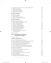| 19<br>20<br>21<br>22<br>23             | Vygotsky: Scaffolding - the zone of proximal development<br>Piaget: Constructivism<br>Bandura: Role modelling<br>Ausubel: Reception learning<br>Bruner: Discovery learning                                                                                                                                                                                                                  | 48<br>50<br>52<br>54<br>56                               |
|----------------------------------------|---------------------------------------------------------------------------------------------------------------------------------------------------------------------------------------------------------------------------------------------------------------------------------------------------------------------------------------------------------------------------------------------|----------------------------------------------------------|
|                                        | <b>Section 1.4: Humanism</b>                                                                                                                                                                                                                                                                                                                                                                | 59                                                       |
| 24<br>25<br>26<br>27                   | Knowles: Andragogy<br>Rogers: Facilitation<br>Maslow: Hierarchy of needs<br>Mezirow: Transformational learning                                                                                                                                                                                                                                                                              | 62<br>64<br>66<br>68                                     |
|                                        | <b>Section 1.5: Neurolism</b>                                                                                                                                                                                                                                                                                                                                                               | 71                                                       |
| 28<br>29<br>30<br>31<br>32<br>33<br>37 | Hebb: Associative learning<br>Miller: Chunking and the magical number 7<br>Sweller: Cognitive load theory<br>Paivio: Dual coding theory<br>Festinger: Cognitive dissonance<br>Broadbent: Artificial intelligence<br>34 Gardner: Multiple intelligences<br>35 Goleman: Emotional intelligence<br>36 Doidge: Brain plasticity<br>Caine and Caine: The 12 principles of<br>meaningful learning | 72<br>74<br>76<br>78<br>80<br>82<br>84<br>86<br>88<br>90 |
|                                        | Summary of Part 1                                                                                                                                                                                                                                                                                                                                                                           | 93                                                       |
|                                        | <b>PART 2: CONTEMPORARY THINKING ON</b>                                                                                                                                                                                                                                                                                                                                                     |                                                          |
|                                        | <b>TEACHING AND LEARNING</b>                                                                                                                                                                                                                                                                                                                                                                | 95                                                       |
|                                        | Introduction to Part 2                                                                                                                                                                                                                                                                                                                                                                      | 97                                                       |
|                                        | <b>Section 2.1: Professionalism</b>                                                                                                                                                                                                                                                                                                                                                         | 99                                                       |
| 38<br>39<br>41<br>42<br>43<br>44       | Petty: Creativity and the ICEDIP model<br>Burch: Competency and the conscious-unconscious model<br>40 Bryk and Schneider: Caring and relational trust<br>Purkey: Communication and invitational education<br>Berne: Confidence and the values model<br>Covey: Consideration and the emotional bank account<br>Thomas and Kilmann: Conflict and the resolution model                         | 102<br>104<br>106<br>108<br>110<br>112<br>114            |
|                                        | <b>Section 2.2: Learning Styles</b>                                                                                                                                                                                                                                                                                                                                                         | 117                                                      |
| 45<br>46<br>47<br>48<br>49<br>50<br>51 | Herrmann: The brain dominance instrument<br>Fleming: The VARK model<br>Kolb: Learning style inventory<br>Honey and Mumford: Learning styles preferences<br>Gregorc: Mind styles<br>Myers and Briggs: Type indicator<br>Sternberg: The mental self-government model                                                                                                                          | 118<br>120<br>122<br>124<br>126<br>128<br>130            |

**x** Learning Theories Simplified

 $\overline{\phantom{a}}$ 

 $\bigoplus$ 

 $\overline{\phantom{a}}$ 

 $\overline{\phantom{a}}$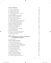| <b>Section 2.3: Motivation</b><br>133 |                                                                                                                                                                                                                      |          |                                        |
|---------------------------------------|----------------------------------------------------------------------------------------------------------------------------------------------------------------------------------------------------------------------|----------|----------------------------------------|
| 52<br>53<br>54<br>55                  | Alderfer: The ERG model<br>Vroom: Expectancy theory<br>McGregor: X and Y theory<br>McClelland: Needs theory<br>56 Curzon: Fourteen points for motivation<br>57 Dweck: Mindsets                                       |          | 134<br>136<br>138<br>140<br>142<br>144 |
|                                       | <b>Section 2.4: Behaviour Management</b>                                                                                                                                                                             |          | 147                                    |
| 59<br>60<br>61<br>62<br>63            | 58 Canter: Assertive discipline<br>Kounin: Classroom management<br>Hattie: The rope model<br>Willingham: Why students don't like school<br>Cowley: Getting the buggers to behave<br>Hare: The psychopathic checklist |          | 148<br>150<br>152<br>154<br>156<br>158 |
|                                       | <b>Section 2.5: Coaching and Mentoring</b>                                                                                                                                                                           |          | 161                                    |
| 67                                    | 64 Whitmore: The GROW model<br>65 Bates: The COACHING model<br>66 Bell: The mentor scale<br>Costa and Kallick: The critical friend                                                                                   |          | 164<br>166<br>168<br>170               |
| <b>Section 2.6: Teamworking</b>       |                                                                                                                                                                                                                      |          | 173                                    |
| 69<br>70                              | 68 Tuckman: The group development model<br>Wheelan: The group maturity model<br>Buckley: Team teaching                                                                                                               |          | 174<br>176<br>178                      |
|                                       | Summary of Part 2                                                                                                                                                                                                    |          | 181                                    |
|                                       | <b>PART 3: AN INTRODUCTION TO EARLY CHILDHOOD AND</b><br><b>DEVELOPMENTAL STRATEGIES</b>                                                                                                                             |          | 183                                    |
|                                       | Introduction to Part 3                                                                                                                                                                                               |          | 185                                    |
|                                       | Section 3.1: Children and Society                                                                                                                                                                                    |          | 187                                    |
| 71<br>72<br>73<br>74                  | Bowlby: Attachment theory<br>Erikson: Psychosocial development<br>Lave and Wenger: Socially situated learning<br>Bronfenbrenner: Ecological systems theory                                                           |          | 188<br>190<br>192<br>194               |
| <b>Section 3.2: Emotional Growth</b>  |                                                                                                                                                                                                                      |          | 197                                    |
| 75<br>76<br>77<br>78                  | Gesell: Maturational theory<br>Coles: The moral life of children<br>Banks: Ethnic identity<br>Kohlberg: Moral reasoning                                                                                              |          | 198<br>200<br>202<br>204               |
|                                       | <b>Section 3.3: Classroom Strategies</b>                                                                                                                                                                             |          |                                        |
| 79<br>80                              | Froebel: Gifts and occupations<br>Chomsky: Language acquisition device                                                                                                                                               |          | 208<br>210                             |
|                                       |                                                                                                                                                                                                                      | Contents | хi                                     |

 $\bigoplus$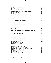| 81<br>82<br>83                                           | Lloyd and Wernham: Jolly phonics<br>Goldschmeid: Heuristic learning<br>Claxton: Learning power                                                                                                                                                                                                       | 212<br>214<br>216                                           |  |
|----------------------------------------------------------|------------------------------------------------------------------------------------------------------------------------------------------------------------------------------------------------------------------------------------------------------------------------------------------------------|-------------------------------------------------------------|--|
|                                                          | Section 3.4: Working with Children with Additional Needs                                                                                                                                                                                                                                             |                                                             |  |
| 84<br>85<br>86<br>87<br>88<br>89<br>90                   | Singer: Neurodiversity<br>Kabat-Zinn: Mindfulness<br>Berne: Transactional analysis<br>Bandler and Grinder: Neuro-linguistic programming<br>Beck: Cognitive behavioural therapy<br>Bateman and Fonagy: Mentalisation-based treatment<br>Walker, Johnston and Cornforth: Makaton                       | 220<br>222<br>224<br>226<br>228<br>230<br>232               |  |
|                                                          | <b>Section 3.5: Different School Approaches</b>                                                                                                                                                                                                                                                      | 235                                                         |  |
| 91<br>92<br>93<br>94<br>95<br>96                         | Montessori: The absorbent mind<br>Neill: Summerhill school<br>Malaguzzi: The Reggio Emilia experience<br>Steiner: Steiner schools<br>May and Carr: Te Whāriki<br>Flatau: Forest schools                                                                                                              | 236<br>238<br>240<br>242<br>244<br>246                      |  |
|                                                          | Summary of Part 3                                                                                                                                                                                                                                                                                    | 249                                                         |  |
|                                                          | PART 4: PLANNING, DELIVERING AND ASSESSING LEARNING                                                                                                                                                                                                                                                  | 253                                                         |  |
|                                                          | Introduction to Part 4                                                                                                                                                                                                                                                                               | 255                                                         |  |
|                                                          | <b>Section 4.1: Curriculum Planning</b>                                                                                                                                                                                                                                                              | 257                                                         |  |
| 97<br>98<br>99<br>100<br>101<br>102<br>103<br>104<br>105 | Tyler: The rational objective model<br>Taba: The grassroots model<br>Stenhouse: The interactive model<br>Wheeler: The rational cyclical model<br>Walker: The naturalistic model<br>Grundy: The praxis model<br>Bruner: Spiral curriculum<br>Jackson: Hidden curriculum<br>Dewey: Flexible curriculum | 260<br>262<br>264<br>266<br>268<br>270<br>272<br>274<br>276 |  |
|                                                          | <b>Section 4.2: Lesson Planning</b>                                                                                                                                                                                                                                                                  | 279                                                         |  |
| 106<br>107<br>108<br>109<br>110<br>111<br>112            | Bloom: Levels in the cognitive domain<br>Dave: Levels in the psychomotive domain<br>Krathwohl and Bloom: Levels in the affective domain<br>Biggs and Collis: The SOLO model<br>Pritchard: The lesson checklist<br>Doran: SMART objectives<br>Clarke, Timperley and Hattie: Learning intentions       | 280<br>282<br>284<br>286<br>288<br>290<br>292               |  |

- 
- **xii** Learning Theories Simplified

 $\overline{\phantom{a}}$ 

 $\bigoplus$ 

 $\overline{\phantom{a}}$ 

 $\overline{\phantom{a}}$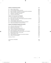|                                                                    | <b>Section 4.3: Delivering Learning</b>                                                                                                                                                                                                                                                                                                                                                                                | 295                                                                |
|--------------------------------------------------------------------|------------------------------------------------------------------------------------------------------------------------------------------------------------------------------------------------------------------------------------------------------------------------------------------------------------------------------------------------------------------------------------------------------------------------|--------------------------------------------------------------------|
| 113<br>114<br>115<br>116<br>117<br>118                             | Hattie: Visible learning<br>Carroll and Bloom: Mastery learning<br>Reece and Walker: Techniques to provide extrinsic motivation<br>Shayer and Adey: Cognitive acceleration<br>Alexander: The dialogic classroom<br>Tomlinson: Differentiation                                                                                                                                                                          | 296<br>298<br>300<br>302<br>304<br>306                             |
|                                                                    | Section 4.4: Assessment and Feedback                                                                                                                                                                                                                                                                                                                                                                                   | 309                                                                |
| 119<br>120<br>121<br>122<br>123<br>124                             | Black and Wiliam: Inside the black box<br>Brown, Race and Smith: The ten-point assessment manifesto<br>Clarke: Peer assessment<br>Luft and Ingham: Johari windows<br>Gould and Roffey-Barentsen: Six stages of feedback<br>Shute: Using feedback to enhance learning                                                                                                                                                   | 310<br>312<br>314<br>316<br>318<br>320                             |
| Section 4.5: Evaluating Teaching and Learning                      |                                                                                                                                                                                                                                                                                                                                                                                                                        | 323                                                                |
| 125<br>126<br>127<br>128<br>129<br>130<br>131<br>132<br>133<br>134 | Schön: The reflective practitioner<br><b>Brookfield: Critical lenses</b><br>Bolton: Looking through the mirror<br>Tummons: Evaluation of lifelong learning<br>Argyris and Schön: Triple-loop learning<br>Bush and Middlewood: The role of leaders and managers<br>Barber, Moffit and Kihn: Deliverology<br>Crosby: Quality is free<br>Pedler Burgoyne and Boydell: The learning company<br>Senge: The fifth discipline | 326<br>328<br>330<br>332<br>334<br>336<br>338<br>340<br>342<br>344 |
|                                                                    | Summary of Part 4                                                                                                                                                                                                                                                                                                                                                                                                      | 347                                                                |
|                                                                    | A final word on TEACHING                                                                                                                                                                                                                                                                                                                                                                                               | 349                                                                |

*Index* 351

 $\bigoplus$ 

 $\overline{\phantom{a}}$ 

Contents **xiii**

 $\mathbb{R}$ 

 $\bigoplus$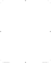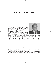# **About the author**

⊕

Bob Bates was a Senior Executive in the Civil Service for 20 years. During this time, he also worked as a staff trainer and coach and mentor to people with disabilities. He then set up his own management and training consultancy (The Arundel Group), which celebrates its 25th anniversary next year. His work as a management consultant covered a number of local and central government projects as well as working as a trainer with major UK private sector companies.



In the late 1990s Bob started a lecturing career, during which time he gained two masters degrees in management and education and a PhD in education. He has

taught over 1000 teachers and trainers on graduate and post-graduate programmes at two universities. He currently manages and teaches on City & Guild Teaching Award, Certificate and Diploma courses in a community college.

The first edition of *Learning Theories Simplified* was Bob's third book. His first book, *The Little Book of BIG Management Theories*, written with Jim McGrath, was on WHSmiths' non-fiction bestsellers list for nearly a year, is being translated into 15 languages, including Japanese and Arabic, and was chosen by the Chartered Management Institute as the CMI's Practical Management Book of the Year for 2014. His second book, *The Little Book of BIG Coaching Theories*, published in February 2015, was also a bestseller and has been translated into German and Thai. His fourth book, *A Quick Guide to Special Needs and Disabilities*, was published by SAGE in 2016 and his fifth book, *Educational Leadership Simplified* co-written with Andy Bailey, was published by SAGE in 2018.

Bob shares his time these days between writing, working voluntarily for a charity that promotes health and education in the Gambia, researching into offender learning and homelessness and teaching Adult Education Teachers.

Bob can be contacted through his website **bobbates.co.uk** (here you get an option to pick *Research* or *Bad Bob Bates –* please choose the former) or email **saddlers9899@aol.com**.

⊕

♠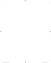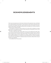# **Acknowledgements**

⊕

There's just not enough room in this book to thank all of the people who have contributed to my understanding of learning theory. These include the many teachers and learners who it has been my privilege to work with. Some of these are used as case studies in the book. Special mention goes to Tara Dingle and Ruth Peach who helped me to choose the theories relating to Early Childhood Studies.

Jane Spindler also deserves special mention for the help with the diagrams and page layout and the encouragement she gave me when things were not going well. Jane is a rare talent both as a designer and teacher.

The team at Sage have been simply superb. From my first meeting with James Clark, who convinced me that this book would work, and subsequent meetings with him, Rachael Plant and Diana Alves to take the initial idea through to pre-production stage, they have been incredibly supportive (even laughing at my stories). Thanks to Naomi for the jazzy cover design and Christine for correcting my many grammatical errors. Nicola and Dilhara then took on the responsibilities for getting the book on the shelves. Without them, this just wouldn't have happened.

I am indebted to all of these people.

⊕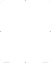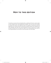# **New to this edition**

⊕

This edition of *Learning Theories Simplified* offers an additional 30 theories, mostly related to early childhood theory and developmental strategies. There are also entries relating to working with learners with additional needs and examples of teaching and learning approaches from schools around the world and, by popular demand, more diagrams and some challenges, which Bob calls *Critical Perspectives*, where he invites you to critique: (a) what the theorist has to say about the subject, (b) his understanding of their work or (c) the appropriateness of any actions he may have taken in the case studies.

 $\bigoplus$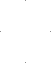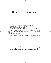# **How to use this book**

⊕

This book will:

⊕

- help you understand how people learn and your role in the process
- develop your skills as a teacher/trainer/coach/mentor
- enable you to apply learning theory to practice
- support you to manage key aspects of programme design, delivery and evaluation.

This book is easy to use but effective. It is written for busy people who are more interested in solutions to problems and the application of a theory rather than a critical analysis of the theory.

The book is divided into four parts:

- **Part 1** covers **classical learning theory** from the early educational philosophers through to the behaviourist, cognitivist, humanist and neuroscientists of the twentieth century.
- **Part 2** looks at more **contemporary thinking** on learning and teaching and covers the work of some of the most cited and respected current educational thinkers on issues related to the personal qualities of teachers and learners.
- **Part 3** looks at **early childhood and developmental strategies**. Although the emphasis here is on working with younger children, some of the ideas can be adapted and adopted for working with all ages. This part also looks at some approaches that you can undertake when working with learners with additional needs and examples of different teaching and learning approaches from schools around the world.
- **Part 4** looks at the theories and models underpinning **curriculum development, lesson planning, delivery, assessment and evaluation**. This part is for teacher/trainers who are involved in developing, delivering and evaluating programmes of study.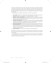Each part is broken down into a number of theories and models from well-known thinkers in that field. Each model or theory will be explained in less than 500 words (many with accompanying diagrams) and then a *How to Use It* section, again in less than 500 words, where the theories are made practical for ease of application with key points for action in the classroom.

I've used a number of different approaches in the *How to Use It* entries:

⊕

- **Do it steps**: offering you a simple step-by-step approach, often using acronyms or mnemonics, which you can follow in order to apply the theory or model.
- **Reflection points and challenges**: encouraging reflection on real-life case studies or problems in order to develop your understanding of how to apply the theory or model. There's even the odd trip to the cinema.
- **Analogies and metaphors**: taking you out of the real world for just a moment and getting you to relate the theory to something which has no obvious bearing on the theory or model but from which understanding and meaning can be drawn.
- **Tips for the classroom**: three tips from each entry for you to try out in the classroom.
- **Critical perspectives**: this is where I encourage you to think about the entry. The challenge is for you to consolidate your learning by critiquing: (a) what the theorist has to say about the subject, (b) my understanding of their work or (c) the appropriateness of any actions I may have taken.
- **Further reading:** books or articles I've drawn the source material from.

With regard to your answers to any of the critical perspectives, please feel free to drop me an email if you want to give me feedback or if you want me to comment on your thoughts on the subject.

The one thing that I've learned over the years is that everyone has their own idiosyncratic preferences when it comes to learning. What I do hope is that there is something for everyone in the *How to Use It* entries.

♠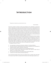# **Introduction**

⊕

'People learn to hate but you can teach them to love'

Nelson Mandela

This book is written for teachers, trainers and managers of any individuals or groups who want to understand more about how people think and learn and more importantly how to use this understanding to get the best out of people. I've tried not to suggest that any one branch of theory is better than the rest or that any one theorist within a particular branch should be read to the exclusion of others. The decision on this is down to you and the context in which you are working with learners. I don't claim for one minute that, by reading Theory 32, you will know all you need to know about the work of Leon Festinger to be considered an expert on *cognitive dissonance*. What I do promise you is that you will know how *cognitive dissonance* works and how to apply it in practice.

This book doesn't attempt to trivialise great theory by its brevity but it does recognise that teachers, trainers and managers, and the people they are working with, are very busy and may not have the time to devote to reading Carl Rogers' *On Becoming a Person* or Robert Dilts' *Strategies of Genius*. Don't get me wrong, these are great books and if you want detailed academic perspectives on theories such as Cognitivism or Humanism go out and buy them. What I am offering is a basic insight into theories and models and, what's very often missing in academic works, how you can apply them in practice.

Throughout the book, I refer to:

- the organisation as being any work place, education or training institution
- learning as being any developmental process being undertaken by the individual (for example, teaching, training, coaching or mentoring)
- learners as being anyone benefiting from the developmental process
- the *teacher* as being anyone supporting the learner (this could be in their role as a teacher or as a trainer, mentor or coach)
- the classroom as being any environment where learning takes place
- a session as an event covering a learning experience.

If you see the term *teacher* and your role is as a *trainer, coach* or a *mentor*, then I don't think it's too great a leap of faith to recognise that the theories and models apply equally to you.

♠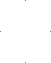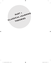PART <sup>1</sup><br>CLASSICAL LEARNING **theories**

 $\bigoplus$ 

 $\overline{\phantom{a}}$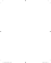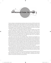⊕

# **INTRODUCTION TO PART 1**

 Theories relating to understanding how people learn date as far back as 500 BC and the Greek philosophers Plato and Aristotle. Plato argued that truth and knowledge were within (it was natural) and that people had an intrinsic desire to do what they did, whereas Aristotle's view was that it is something that is taught (it happened as a result of nurturing). The nature vs nurture debate is one of the oldest issues in human development that focuses on the relative contributions of genetic inheritance and environmental conditioning.

 For many years this was a philosophical debate with well-known thinkers such as Rene Descartes suggesting that certain things are inherent in people, or that they simply occur naturally (the nativists' viewpoint), arguing the toss with others such as John Locke who believed in the principle of *tabula rasa* , which suggests the mind begins as a blank state and that everything we become is determined by our experiences (the empiricists' viewpoint). Towards the end of the nineteenth century the debate was taken up by a new breed of theorists who developed the discipline of psychology.

 For most of the early part of the twentieth century behavioural psychologists suggested that humans were simply advanced mammals that reacted to stimuli. *Behaviourism* remained the basis of teaching and learning until it was challenged in the period between the two world wars by psychologists who argued that thinking and learning was a developmental cognitive process in which individuals create, rather than receive, knowledge. This gave rise to the movement known as *Cognitivism.* After the Second World War, a third branch of theory came into force with the belief that learners were individuals whose learning should not be separate from life itself and who should be given the opportunity to determine for themselves the nature of their own learning. This became known as *Humanism.*

 The new millennium, and the growing interest in neuroscience, provided a fresh insight into how people process information. Although theories around what role the brain plays in the learning process are still mostly speculative, there does appear to be common consent that the mind was set up to process external stimuli, to draw connections with other stimuli and to make sense of what was happening.

 Part 1 will give you an insight into some of the key theories that were developed from the early philosophers through to more modern-day philosophical viewpoints and variations within the psychological approaches of the twentieth century, culminating with the development of neuroscience and brain processing theory.

♠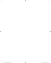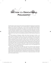# **SECTION 1.1: EDUCATIONAL PhilosophY**

⊕

 Knowing where to start and end in this section was probably the hardest part of writing this book. It seems almost sacrilegious not to include Confucius or Siddhartha Gautama (the Buddha) in any discourse on philosophy, or even to fail to acknowledge Thales of Miletus as the founding father of philosophy. The budget for this section was to be nine entries. I couldn't drop the contributions of any of the three great Greek philosophers (Socrates, Plato and Aristotle); wanted to continue the debate through the renaissance and age of reason (Descartes and Locke); into the age of revolution (Rousseau); and, finally, throw in writers with a more modern socio-philosophical perspective (Sartre, Nietzsche, Dewey and Freire).

 So, with apologies to Pythagoras, Hobbes, Kant, Russell and dozens of others, I set about trying to condense the ideas of some of the truly great thinkers into less than 500 words. My first problem was with the theoretical contributions of the Greek philosophers. This was difficult on two fronts: Socrates, who is accredited as the founder of western philosophy and was the teacher of Plato, wrote very little about his ideas, established no school of learning and held no particular theories of his own. Much of what we know about Socrates came from the writings of Plato. Although Plato and Aristotle wrote more about their ideas, my second problem was that again, there was no discernible theoretical model to use as the basis for discussion. In each of the first three contributions therefore, I have tried to encapsulate the key message of each of the philosophers and show how they can be applied to teaching.

 Things got a little bit easier some 2000 years down the road when clearer theoretical models began to emerge with the work of Descartes, Locke and, a bit later, Rousseau. Descartes and Locke continued the nature/nurture debate that Plato and Aristotle started about whether truth and knowledge are found within us (rationalism) or are something we acquire (empiricism). Rousseau's work is peppered with social commentary; a theme that Dewey, Sartre and Nietzsche picked up on and Freire so vigorously pursued in the latter part of the twentieth century.

01\_BATES\_2E\_SECTION\_1\_1.indd 5 12/12/2018 3:18:12 PM

♠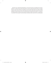Someone once claimed that philosophy is not just the preserve of brilliant but eccentric thinkers, it's what everyone does when they're not busy doing important things. The ideas that are used in this section are probably a bit more than that; they're less about finding answers to the issues you face in the classroom and more about the process of trying to find these answers. There are some great processes to follow in this section – give them a try and don't be confused if some processes contradict others; that's the fun of philosophy!

 $\bigoplus$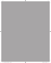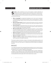# **1 SOCRATES** (469–399 BC)

**Socrates** is often considered to be one of the founders of western philosophy. He<br>developed the Socratic or dialectical method of philosophy which is based on persis-<br>tent questioning and the belief that the life which is developed the *Socratic* or *dialectical* method of philosophy which is based on persistent questioning and the belief that the life which is unexamined is not worth living. Here is a summary of some of the key questions and answers that Socrates posed related to teaching and learning:

⊕

- *What is knowledge?* He categorised knowledge into the trivial and the important. Trivial knowledge doesn't provide the possessor with any useful expertise or wisdom. Important knowledge relates to ethics and morals and can be defined by how best to live one's life.
- *Why do we need to learn?* Although he believed that goodness and truth, and ethical and moral instincts were inherent in everyone, they could only be bought to the surface through learning.
- **How do we learn?** He described learning as the search for truth. Learning would only occur as the result of questioning and interpreting the wisdom of others and when one comes to recognise their own ignorance and faults.
- *Who do we learn from?* He didn't believe that any one person, or any one particular school of thought, had the wisdom or legitimate authority to teach things. He did however argue that individuals are not self-sufficient and that other people were necessary to share the experience and wisdom from which learning could flourish.
- **Where do we learn?** He questioned the established idea that learning could only take place in educational establishments and advocated that learning should take place wherever and whenever people met.
- *When do we learn?* He argued that this happened whenever two or more people engaged in meaningful dialogue and when one person was willing to see their own faults, weaknesses and negative tendencies.

The Socratic method of teaching is based on the teacher asking leading questions and guiding the learner to discovery. Its cornerstone was the dialogue between the teacher and the learner that used critical inquiry to challenge preconceived thoughts and established doctrines.

#### **How to use it**

If you follow the principle of the unexamined life being worthless, then you must be honest in how you examine what you've done. Admitting failure and learning from errors is as important as reflecting on your successes in making you a good teacher.

Michael Jordan, arguably one of the greatest basketball players of all time, admitted that, throughout a career spanning 15 years, he had missed more than 9000 shots at the basket; lost nearly 300 games; and missed important game-winning shots on 26 occasions. He admits to having failed time and time again; which is why he feels he was a success.

**8** Classical Learning Theories

♠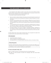# **THE UNEXAMINED LIFE IS WORTHLESS**

To be prepared to fully reflect on what you have done, look at the reflective practice models covered in theories 125–127. There's something there for everyone in terms of the scope and scale of reflection and some great models to use.

⊕

If you want to follow the doctrines of Socrates:

- Never be afraid of making mistakes. OK, giving out wrong information to learners will have to be corrected as soon as possible but mistakes are always forgivable if you learn from them.
- Be aware of the boundaries that you are working to. Although you may not have the licence to challenge your learners' ethics and morals, if they are preventing learning from taking place it may come into your jurisdiction and you may have to do something about it.
- Try to avoid giving out too many answers. Concentrate on guiding learners to discover more about the subject by asking them challenging questions. A good rule of thumb here is to ask four times as many questions as you give answers.
- Encourage members of the class to engage in meaningful dialogue, unhindered by your presence, whenever possible. Get them to summarise their discussions with the rest of the group. In this way the sharing of wisdom and experiences will be more widespread.

Socrates believed that unless people examined their lives and gained the wisdom that accrued from this, they would continue to make mistakes.

#### **In the classroom**

♠

- Accept that mistakes will happen.
- Treat all mistakes as a learning opportunity.
- Encourage learners to constantly question what they, and you, are saying or doing.

#### **Critical Perspective**

Socrates coined the phrase that the unexamined life is not worth living. What do you think about his assertion that admitting failure and learning from errors is as important as reflecting on your successes in making you a good teacher?

#### **For more on Socrates's ideas, read:**

Navia, L.E. (2007) *Socrates: A Life Examined*. New York: Prometheus Books. Plato (1997) *The Trial and Death of Socrates: Four Dialogues*. New York: Classic Books International.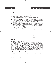## **2 PLATO (427–327 BC)**

lato was a student of Socrates. His early writings were strongly influenced by those of his mentor and focused on the search for definitions of moral values such as virtue and justice. In *The Republic*, he described everything that our senses perceive in the material world as limited to mere shadows of reality and that the real truth lies within. He uses the *allegory of the cave* to explain this idea.

There are four phases to the allegory which can be summarised as follows:

⊕

- Imagine you are **imprisoned** in a cave. You are shackled to a wall and can only see the shadows of objects, illuminated by a fire, cast on the wall opposite. These shadows are the only things that you have ever seen and all that you have ever thought about. They represent your current reality.
- Suppose that you are **released from the shackles** and allowed to roam freely around the cave. You now begin to see things as they really are and begin to understand the origins of some of the shadows. You begin to question your beliefs about what is real.
- Eventually, you are **allowed out of the cave** where you start to see the fullness of reality. You realise the errors in your beliefs.
- You **re-enter the cave** and try to convince your former inmates that what they accept as the truth is only an illusion. Your arguments are only met with ridicule and rejection by others less enlightened than you. You either succumb to ridicule and go back to your original beliefs about reality or persevere with the truth.

The allegory highlights Plato's belief in the separation of two distinct worlds, one of appearance and one of reality, and his belief that truth and knowledge was to be found within someone. His disagreements with his student Aristotle sparked the *nature vs nurture* debate that still resonates with modern-day thinkers (see Theory 4).

#### **How to use it**

Stop me if you've heard this one before:

A forest fire is ranging on a deserted island, killing all of the animals in its wake. The only remaining survivors are a scorpion and a frog. The frog asks the scorpion if he knows the way to the sea. The scorpion tells the frog that he will show him the way there if he will give him a lift. The frog asks the scorpion why he should trust him not to sting him. The scorpion replies that if he did that they would both die and that if they worked as a team they would both be saved. The frog agrees and tells the scorpion to jump on his back. The scorpion does so and immediately stings the frog. When the frog asks the scorpion why he had condemned them both to certain death, the scorpion simply replied that, 'it was in his nature to do so'.

If you want to follow the doctrines of Plato:

Start by believing that truth and knowledge is to be found within and that it is in a learner's nature to behave in the manner that they do.

10 | Classical Learning Theories

♠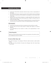# **PLATO (427–327 BC) SHADOWS OF REALITY**

• Accept that, if the territory represents reality, the map is merely a representation of that reality.

 $\bigoplus$ 

- Acknowledge that learners respond according to their individual maps and although they may act in ways that you find unhelpful or unacceptable, you must respect that it is their map.
- Appreciate that your learner's behaviour is created specifically with regard to the context and the reality currently being experienced. Change is necessary when the context and reality change.
- You may not be able to change a learner's ingrained behaviour, or even have the license to do this, but you can get them to reflect on the appropriateness of their actions.

#### **In the classroom**

- Accept that some behavioural traits are ingrained and will be difficult to modify.
- Recognise that you may not have license to change some aspects of a learner's behaviour.
- If it's questionable, get your learners to reflect on the appropriateness of their behaviour.

#### **Critical Perspective**

⊕

What do you think that Plato meant by his belief in the separation of two distinct worlds: one of appearance and one of reality?

#### **For more on Plato's ideas, read:**

Plato (1970) *The Republic: The Dialogues of Plato* (B. Jowett, trans./ed.). London: Sphere Books.

Plato (1997) *The Trial and Death of Socrates: Four Dialogues*. New York: Classic Books International.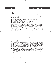# **ARISTOTLE (384-322 BC)**

**Although** Aristotle was a student of Plato's, he disagreed with Plato's assertion that truth and knowledge was to be found within someone. He argued that people needed to use the wisdom of others to look for truth and kno that truth and knowledge was to be found within someone. He argued that people needed to use the wisdom of others to look for truth and knowledge in the world outside.

⊕

Here is a summary of Aristotle's theories on learning and the belief that knowledge and skills are achieved by:

- examining the knowledge and expertise of those considered to be wise
- interpreting the statements of others
- undertaking self-examination based on this interpretation
- developing self-belief as a result of self-examination.

Aristotle's method of teaching is based on the teacher guiding the learner to reach their potential through the wisdom of others. Its cornerstone was the dialogue between the teacher and the learner that emphasised what the learner was capable of doing. This became the principle on which the concept of the *self-fulfilling prophecy* was based.

The self-fulfilling prophecy was a term introduced by Merton in the 1960s. It was based on Aristotle's belief that, if you have high expectations of a learner and they are aware of this, they will perform at a level that matches these expectations. Conversely, if you have low expectations of a learner and they are aware of this, their performance will suffer.

#### **How to use it**

♠

How can you turn a coward into a hero, a dullard into a genius or an emotional vacuum into a great lover? That's exactly the challenge facing the Wizard in Frank Baum's immortal story of the *Wizard of Oz*. He gave the cowardly lion a medal for courage, the scatterbrain scarecrow a diploma and the tin man a ticking clock (well Christian Barnard hadn't perfected his techniques for heart transplants at this stage). You need to watch the movie to see what happens.

Never underestimate the effect that you have on others. You, like the wizard in the story, exert enormous power over their lives and, through your attitude towards them, can turn them into successes or failures. Tell them they are doomed to fail and they may begin to accept failure as an inevitable consequence. Tell them they have the potential for greatness and watch them grow. Here are some tips about how you can be the wizard.

- Give them a few tasks that are relatively easy to complete. Acknowledge their achievement of the task. A simple 'well done' or nod of approval will do, but celebrating the achievement with others will have a great impact on their self-belief.
- Reward effort as well as achievement. Make sure learners see the connection between effort and success.
- 12 | Classical Learning Theories

⊕

**3**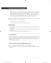# **THE SELF-FULFILLING PROPHECY**

Get the learners in your class to share what they have learned with others. Develop a rapport within the class whereby learners acknowledge the efforts and successes of others. Simple nods of appreciation or a round of applause may be appropriate.

⊕

• Teach learners how to handle the failures that inevitably they will experience from time to time. Support them to learn from mistakes as well as successes.

Here's a little ditty that I once learned that sums up what this entry is all about. I promise you that in a year's time, you'll still be singing it:

*I'm off to be the wizard, the wonderful Wizard of Oz.*

*I'm off to be the wizard, 'cos of all of the wonderful things I does.*

#### **In the classroom**

⊕

- Don't keep spoon-feeding learners with information: get them to look for the answers themselves.
- Allow learners to have a few quick early successes as this will encourage them to want to know more.
- Make learners aware that you have high expectations of them.

#### **Critical Perspective**

Aristotle believed that if you have high or low expectations of a learner and make them aware of your feelings towards them they will act in accordance with your feelings. This became known as the self-fulfilling prophecy. What experiences do you have of the selffulfilling prophecy in action?

#### **For more on Aristotle and the self-fulfilling prophecy, read:**

Merton, R.K. (1968) *Social Theory and Social Structure*. New York: Free Press. Winch, C. and Gingell, J. (2005) *Key Concepts in the Philosophy of Education*. Abingdon: Routledge.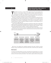# **4 RENE DESCARTES (1596–1650) VS JOHN LOCKE (1632–1704)**

**This** debate occurred as a result of Plato arguing that truth and knowledge were<br>within (i.e. it was natural), whereas his student, Aristotle, claimed that they are<br>something we are taught (i.e. it happened as a result of within (i.e. it was natural), whereas his student, Aristotle, claimed that they are something we are taught (i.e. it happened as a result of nurturing). The nature versus nurture debate is one of the oldest issues in human development, which discusses the relative merits of genetic inheritance and environmental conditioning.

⊕

Descartes revived Plato's rationalist concept of innate knowledge and argued that truth and knowledge existed within human beings prior to experience. He was sceptical of the philosophical ideas of many of his predecessors and his desire for some certainty in life led him towards his own powers of rationalisation for the answer. He developed a system of *Cartesian doubt* as a way of reaching his ultimate conclusion of 'I think, therefore I am' or in its Latin form '*cogito ergo sum*'.

Locke revived Aristotle's empiricist view with the concept that a child's mind is a blank tablet (*tabula rasa*) that can be filled with knowledge that comes directly or indirectly from experience of the world. He separated these experiences into two categories: ideas of sensation – seeing, hearing and feeling; and ideas of reflection – thinking, questioning and believing.

If Descartes and Locke can be accused of re-igniting the nature–nurture debate, then the impact this had on how education theorists viewed teaching and learning has been significant. This can be summarised as:

| Nature                     |                                                               |                                                                |                                                     | Nurture                                  |
|----------------------------|---------------------------------------------------------------|----------------------------------------------------------------|-----------------------------------------------------|------------------------------------------|
| <b>Biologists</b>          | <b>Psychoanalysts</b>                                         | <b>Cognitivists</b>                                            | <b>Humanists</b>                                    | <b>Behaviourists</b>                     |
| Focus on<br>genetic traits | Focus on<br>innate drives<br>modified<br>during<br>upbringing | Focus on<br>mental<br>structures<br>reacting to<br>experiences | Focus on<br>the desire to<br>satisfy basic<br>needs | Focus on<br>reactions to<br>conditioning |

Both sides in the debate have compelling arguments that make it difficult to decide whether a person's development is governed by their DNA or influenced by their upbringing.

#### **How to use it**

The stage musical *Blood Brothers* has been a great West End and Broadway hit. It is based on the classic story of twins, separated at birth, who meet in childhood and become friends oblivious of the fact that they are brothers. Their mother, unable to afford to bring up both

**14** Classical Learning Theories

♠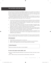# **THE NATURE–NURTURE DEBATE**

sons, gave up one of the twins to her employer, a wealthy woman unable to have children of her own. The story explores the effects that the differences in lifestyles, values and morals of the two families have on the boys as they grow into young men. So, is the tragic end to the story a consequence of genetic traits or conditioning?

⊕

Few people these days would take such an extreme position in this debate as to argue for one side at the absolute exclusion of the other side. There are just too many facts on both sides of the argument which would deter an all-or-nothing view.

- If you are at the extreme end of the Nature scale, the likelihood is that you will believe in the virtue of neuroscience and the belief that the genetic structure of the brain is mostly responsible for an individual's ability or motivation to learn. You will be influenced here by the theorists in Section 1.5.
- As you start to move towards the centre of the scale, you begin to accept the cognitivist's view in Section 1.3 that the genetic structure of the brain is capable of being modified in response to reactions to experiences and the environment.
- Moving from the centre towards the end of the Nurture scale, you are likely to favour the ideas of the humanist theorists in Section 1.4 and the significance they attach to society's influence on an individual's capacity to think and learn.
- At the extreme end of the Nurture scale, the likelihood is that you will believe in the arguments of the behaviourists in Section 1.2 who suggest that all behaviour can be modified through conditioning.

There is no neat and simple way of resolving this debate. The more you read on the subject, the more confusing it gets. The best advice I can give is to go with what feels right for you.

#### **In the classroom**

♠

- Accept what your default position is on this issue.
- Adapt and adopt this position to suit whatever circumstances you are teaching in.
- Reflect on what happened and revise your default position accordingly.

#### **Critical Perspective**

Where do you stand on the nature vs nurture debate?

#### **For more on the nature–nurture debate, read:**

Descartes, R. (1966) *Philosophical Writings* (G. Anscombe and P. Geach, trans./eds). London: Nelson.

Locke, J. (1961) *An Essay Concerning Human Understanding*. London: Dent.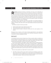## **JEAN-JACQUES ROUSSEAU (1712-1778)**

**Rousseau** presented his theories on education in the story of his relationship, as tutor, with Emile. Rousseau's *Emile* was a landmark contribution to education theory but needs to be understood in the context in which i tutor, with Emile. Rousseau's *Emile* was a landmark contribution to education theing a time when society was built on people who enjoyed dominating others for personal gain and people who either passively accepted this domination and a life of servitude or resented those that wielded power over them and revolted. As Emile's tutor, Rousseau was faced with the dichotomy of not wanting to have an overt position of power over Emile but covertly exerting influence over his education.

⊕

Rousseau's theory of education was based on the belief in the inherent goodness of human beings and the effect of society in corrupting them. He argued that bringing up children in harmony with nature and its laws would facilitate learning and preserve their goodness.

His thinking is based on three key principles.

- People should be able to learn what they want to learn.
- They should be able to do this when they want to.
- Teaching should be based on discovery, enriched with the covert guidance of the teacher.

Rousseau's focus on nature, on the need to develop opportunities for new experiences and reflection and on the dynamic provided by each individual's development remains the cornerstone of modern pedagogical thinking.

#### **How to use it**

I'm not going to set out a series of steps here as I think you need to reflect on whether you feel the treatment of Emile was ethical or not. Your answer to this will help you decide how to use the theory. I am going to suggest that you watch Lewis Gilbert's film based on Willy Russell's play, *Educating Rita*, to give you some food for thought on this.

In the film, Rita, played by Julie Walters, wants to better herself by studying literature. Her tutor, Frank, played by Michael Caine, describes his teaching ability as 'appalling, but good enough for appalling students'. Issues of power and influence are common themes throughout the film as both Rita and Frank struggle to cope with personal and professional difficulties. The essence of the film is about Frank's attempts to teach Rita to value her own insights while still being able to pass the exams. Does he succeed? Watch the film to find out.

Here are some questions you might want to now ask yourself:

• Does Rita succeed or fail? You may need to reconcile your thoughts on what constitutes success and failure. Stepping out on to the Centre Court at Wimbledon (in my dreams) players see an inscribed saying from Kipling that equates success and failure as both being 'imposters'. What do you think he means by this?

16 **Classical Learning Theories** 

**5**

⊕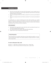# **JEAN-JACQUES ROUSSEAU (1712–1778) PROGRESSIVISM**

• Does the end result justify the actions that Frank takes? You will certainly have to spend some time thinking this one through. Machiavelli claims that the 'ends always justify the means'. Do you agree?

 $\bigoplus$ 

- Have you ever played out the role of Rita as a learner? If so, how do you feel about it now?
- Have you ever played out the role of Frank as a teacher? If so, how do you feel about it now?

It's possible that, as a result of answering some of the above questions, you consider aspects of Rousseau's teaching to be unethical, but there are some compelling ideas in Rousseau's work around the freedom to learn (see Theory 91) and the use of discovery learning (see Theory 23) that are worth considering.

#### **In the classroom**

⊕

- Allow learners the opportunity to learn what they want to providing this doesn't conflict with the planned learning outcomes.
- Don't spoon-feed them the answers; make them think about them.
- Support them to learn through discovering key facts.

#### **Critical Perspective**

Work through the four questions listed above and then determine whether or not you agree with Rousseau's belief in the inherent goodness of people and that it is society that corrupts them.

#### **For more on Rousseau's ideas, read:**

Rousseau, J.J. (1911) *Emile or Education* (B. Foxley, trans.). London: Dent. Rousseau, J.J. (1913) *The Social Contract* (B. Foxley, trans.). London: Dent.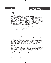# **FRIEDRICH WILHELM NIETZSCHE (1844–1900)**

**Nietzsche** was a nineteenth-century German philosopher, composer and student<br>of the history of language. His work has exerted a profound influence on Western<br>philosophy, primarily because of his attack on the concept of e of the history of language. His work has exerted a profound influence on Western philosophy, primarily because of his attack on the concept of essential truth. Truth, according to Nietzsche, is a matter of perspective, not fundamental reality. This understanding of truth and morality has come to be known as *perspectivism*.

⊕

Nietzsche explains that the term 'perspective' comes from the language of vision and that we literally see things from and with a particular perspective. Our eyes are located at a particular point in the distance, from which some things are visible and others are not. A scene looks different from different perspectives. For example, from high up we can see further and things look smaller, from below things become obscured and we cannot see very far. Nietzsche describes this as 'foreground evaluations'; we take what is near to us (in the foreground) as the standard by which we learn from and interpret the world.

Perspectivism is therefore a theory that is based on:

- *Knowledge*: Learning about a subject is inevitably partial and limited by the individual perspective from which it is studied.
- *Judgements*: Assessments of truth and value depend on how someone sees it through their own individual viewpoint.
- **Interpretation:** It is left to the individual to interpret what they see, think and feel, in view of what they intuitively know is right and good.

Nietzsche believed that education should consist mainly of clearing away 'the weeds and rubbish and vermin' that he felt attacked and obscured the real groundwork for the development of the person. He argued that this kind of education cannot be formalised within institutions which are obsessed with progressing students through a system of tests, grades and qualifications.

Nietzsche produced a considerable amount of ideas dealing with subjects like morality, racism, atheism and consciousness. He was known for his erratic and controversial outbursts such as claiming that 'God is dead' and the emergence of 'over-man' (incorrectly translated as 'superman') which the Nazis hijacked to support the things that Nietzsche was most violently opposed to, notably anti-Semitism, racism and nationalism.

#### **How to use it**

Nietzsche believed that the focus in learning needed to shift from the teacher to the students, and that the classroom should no longer be a place where the teacher pours knowledge into passive students (who wait like empty vessels to be filled), but that the students are urged to be actively involved in their own process of learning (like fires waiting to be rekindled).

If you want to follow the philosophical ideas of Nietzsche, accept that:

**18 Classical Learning Theories** 

```
01_BATES_2E_SECTION_1_1.indd 18 12/12/2018 3:18:16 PM
```
♠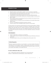## **PERSPECTIVISM**

- What the student currently believes, whether correct or incorrect, is important.
- Despite having the same learning experience, each student will base their learning on the understanding and meaning that is personal to them.

⊕

- Understanding or constructing a meaning is an active and continuous process.
- Learning may involve the student making some conceptual changes in how they think about a subject.
- When students construct a new meaning, they may not believe it but may give it provisional acceptance or even rejection.
- Learning is an active, not a passive, process and depends on the student taking responsibility to learn.
- Discovery is facilitated by providing the necessary resources.
- Learners construct their knowledge through a process of active enquiry.

The main activity in the classroom should therefore be around solving problems. Students should feel free to use inquiry methods to ask questions, investigate a topic, discuss their findings freely with others and use a variety of resources to find solutions and answers. As students explore the topic and view it from different perspectives, the teacher should encourage them to draw new conclusions, and, as their exploration continues, revisit those conclusions.

#### **In the classroom**

♠

- Support collaboration in classwork, not competition.
- Create situations where the students feel safe questioning and reflecting on their own experiences.
- Encourage students to face up to the challenges they will encounter in life.

#### **Critical Perspective**

Nietzsche argued that achieving a true education is a process fraught with what he described as the 'three dangers': isolation, crippling doubt, and the pain of confronting one's limitations. He claimed that most people lack the fortitude and vigour to truly face and conquer these dangers. Do you agree with him?

#### **For more on Nietzsche's ideas, read:**

Cate, C. (2005) *Friedrich Nietzsche*. Woodstock, NY: The Overlook Press. Deleuze, G. (2006) *Nietzsche and Philosophy*. London: Athlone Press.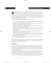# **7 PRAGMATISM PRAGMATISM PRAGMATISM PRAGMATISM PRAGMATISM PRAGMATISM**

**Although** Dewey was primarily a behavioural psychologist, his application of the philosophy of pragmatism, underpinned by his concern for interaction, experience and reflection, had a profound impact on educational thinki philosophy of pragmatism, underpinned by his concern for interaction, experience and reflection, had a profound impact on educational thinking and practice. Dewey's basic belief was that traditional education was too concerned with the delivery of pre-ordained knowledge and not focused enough on the learner's actual learning experiences. He emphasised the importance of experience and education in his ground breaking book of that title, first published in 1938.

⊕

The main principles covered in the book can be summarised as:

- The task of teachers should not be to communicate knowledge and skills to learners but to use their learners' experiences as a teaching tool.
- The challenge for experienced-based education is to provide learners with quality experiences that will result in growth and creativity.
- Continuity and interaction are essential to discriminate between experiences that are worthwhile and those that can be discounted.
- Although control is necessary to establish order in the classroom, it should be based on what he describes as the moving spirit within the class and not on the desire or will of one individual.
- An education system that restricts learners' freedom of thought and movement will inhibit their intellectual and moral development.
- It is the teacher's responsibility to provide quidance to the learner in their use of observation and judgement and to select experiences that have the promise and potential to exercise the learner's intelligence.
- The danger of failure lies in the possible misunderstanding of what constitutes experience and experiential education.

Dewey began a movement that others, such as Kolb (see Theory 47), developed into the notion of experiential learning, which to this day remains the cornerstone of many educational approaches and learning programmes.

#### **How to use it**

Dewey's ideas on progressive education are still as progressive now as they were when he wrote them in the 20s and 30s. Sad to think, I was only 1 year old when Dewey died in 1952. As a senior citizen, I'm now able to get into the cinema at reduced rates. I'm not that old as to have seen the original version of *Goodbye Mr. Chips* at the cinema. It is however one of the most endearing films I've ever seen.

*Goodbye Mr. Chips* is the story of a history teacher in a traditional nineteenth-century English boarding school reflecting on his career as a teacher. He was looked on as a very private, stuffy disciplinarian who is constantly passed over for promotion. After 20 years in the job, and in his mid-40s, he marries Kathy who opens his eyes to the fun to be had in life and teaching, and makes him see the potential that he has, that he never recognised in

**20** Classical Learning Theories

♠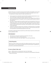# **PRAGMATISM**

himself. Chips goes on to experience many personal triumphs and tragedies over the years but the one constant is the love and admiration his pupils and colleagues have for him. The significance of Dewey's ideas for modern-day teachers are:

⊕

- Having a passion for an education system that offers equality of opportunity for everyone is at the heart of what every teacher should be striving for.
- Learners should be provided with quality experiences that engage them and build on their existing experiences. The teacher's role is to help the learner assess the value of the experience.
- Each past or present experience should be viewed from the perspective of how it can shape future actions. This can be done through a cyclical process of action; reflection on what happened; having a theory about what might happen if things were done differently; experimenting with the new theory; and revising the course of action based on the experiments.
- Thinking and reflection should be the cornerstone of teaching practice. Encouraging learners to share these thoughts will allow the teacher to get to know the learner better and benefit the overall learning experience of the class.

Coincidently, *Goodbye Mr. Chips* was made the year after Dewey's *Experience and Education* was first published in 1938.

#### **In the classroom**

♠

- Allow learners to share their experiences with others in the class.
- Encourage them to reflect on their experiences.
- Get them to think about what might happen if they did things differently.

#### **Critical Perspective**

What do you think of Dewey's basic belief that traditional education was too concerned with the delivery of pre-ordained knowledge and not focused enough on capitalising on the learner's actual learning experiences?

#### **For more on Dewey's ideas, read:**

Dewey, J. (1963) *Experience and Education.* New York: Collier Books.

Dewey, J. (1966) *Democracy and Education: An Introduction to the Philosophy of Education*. New York: Free Press.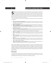# **8 IEAN-PAUL SARTRE (1905–1980)**

**Sartre** was a twentieth-century French philosopher, novelist and political activist. He<br>was one of the key figures in developing the concept of existentialism, a philosophy<br>that emphasises individual existence, freedom an was one of the key figures in developing the concept of existentialism, a philosophy that emphasises individual existence, freedom and choice. In this respect he advocated the principle that *existence precedes essence*, which reversed the traditional philosophical view that the essence (the nature) of a thing is more fundamental and immutable than its existence (the mere fact of its being).

⊕

Here is a summary of some of the key questions and answers that Sartre posed related to education:

- **What are the goals of education?** He argues that the purpose of education is to help the learner to come to terms with their individuality in order to be able to emerge as the unique person they are.
- *What is knowledge?* He claims that knowledge comes from experience and reflection.
- *What knowledge and skills are worthwhile learning?* He stresses the importance of knowledge of the self as a unique individual combined with the skills to work through problems and conflict.
- What are the limits of human potential? He believes that limits are what we choose to create for ourselves and that in this respect we may be influenced by others. Given freedom of choice and action, therefore, human potential may be limitless.
- *What is a mistake?* He asserts that mistakes are made when an individual attributes blame to fate or determinism rather than individual will and the capacity to act on that will.
- *What is learning?* He describes learning as the state of being able to define oneself as having freedom of choice and will and the capacity to deal with others who limit this freedom.
- *What is the role of the teacher?* He claims that the teacher should support the learner to overcome resistance (self-imposed or by others) and provide them with the tools to attain personal freedom.
- What is the purpose of the curriculum? He arques that this should be designed to enable the learner to experience as much of the world as possible.

Sartre uses the analogy of cutting paper to explain the reverse of the existentialist principle and that in this instance *essence precedes existence*. In his analogy, scissors (or to be more precise, paper knives) were designed to address a problem of creating a convenient and accurate method of cutting paper. In this respect, their essence preceded their existence. Sartre explains that whereas the reverse of his principle relates to inanimate inventions like scissors it does not apply to people.

#### **How to use it**

If you follow the philosophy that all human beings possess the same capacity to learn and are guided by the same basic values then you risk missing what Sartre claims is the most fundamental aspect of existence, and that is the freedom to choose.

**22** Classical Learning Theories

♠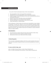# **JEAN-PAUL SARTRE (1905–1980) EXISTENTIALISM**

If you want to follow the philosophical ideas of Sartre, help students to:

- Take responsibility for their own lives and their own decisions.
- Understand their role and responsibilities vis-à-vis themselves and others.
- Be able to engage in meaningful dialogue with their peers and deal effectively with any confrontation that occurs.

⊕

- Be able to deal with life's difficulties, tensions and ambiguities.
- Be able to unleash their own creativity and self-expression.
- Overcome difficulties in choosing what to study and how to study.
- Accept responsibility for making mistakes.

Sartre's philosophy of linking freedom with learning and responsibility has been labelled as pessimistic. He refutes this, claiming it to be the most optimistic philosophy possible, because within it we are able to choose how we learn and how we behave towards others as a result of that learning. The main activity in the classroom should therefore be around debate and discussion, where students should have the confidence to express themselves freely on a range of subjects.

#### **In the classroom**

♠

- Encourage learners to interact with each other and be respectful of others' ideas.
- Foster an environment where creativity is allowed to flourish.
- Allow learners to have a say in what and how they are taught.

### **Critical Perspective**

The very nature of philosophical debate is that there are often paradoxes that accompany even the soundest of arguments. Where do you think the paradoxes are in Sartre's theory?

#### **For more on Sartre's ideas, read:**

Sartre, J.P. (2001) *The Age of Reason*. London: Penguin Publishing Ltd. Sartre, J.P. (2007) *Existentialism and Humanism*. London: Methuen Publishing Ltd. ♠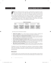# **9 PAULO FREIRE (1921–1997)**

**Freire** was a Brazilian educator who began a national literacy programme for peas-<br>ants and slum dwellers in the 1950s and 1960s. Freire's basic belief was that the<br>function of education was to build on the language, expe ants and slum dwellers in the 1950s and 1960s. Freire's basic belief was that the function of education was to build on the language, experience and skills of the learner rather than imposing on them the culture of the teacher. Throughout his writings he uses politically motivated phrases such as 'dialogue liberates – monologue oppresses'.

⊕

The concept of *critical consciousness*, the cornerstone of Freire's ideas, is that the richest learning begins with action, is then shaped by reflection, which gives rise to further action. His methodology is shown in the following five-step model:



Each step can be summarised as follows:

- **Identify the problem:** This is where teachers and learners engage in dialogue and research to establish the nature of the problem that needs to be answered.
- **Find an original way of representing the problem:** Get learners to use role playing, drawings, metaphors and analogies to do this and then compare what they have produced to see if there is a common theme to the problem.
- *See the problem through your learners' eyes*: Ask learners to describe the situation as seen in the representation and make the link between themselves and the problem.
- *Analyse the cause of the problem*: Get everyone concerned to discuss what is happening and what can be done to address the root cause of the problem.
- *Take action to solve the problem*: Produce a plan of action to identify what needs to be done in both the short term and long term to prevent the problem from reoccurring.

Throughout his work, Freire emphasises the importance of teaching based on dialogue rather than monologue. In this respect he argues that the teacher must allow the learners to talk freely and express themselves so that they feel they are an important part of the learning process.

#### **How to use it**

Jane Elliot taught a class of all white nine-year-olds. The day after Martin Luther King was shot she wanted to show them how it felt to be discriminated against. She divided her class

**24** Classical Learning Theories

♠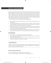# **CRITICAL CONSCIOUSNESS**

into blue-eyed and non-blue-eyed children. She told them that the blue-eyed children were brighter and better than the others. The blue-eyed children started acting in an arrogant manner, deriding the others who became confused and withdrawn. She reversed the process the following day and found that the non-blue-eyed children became arrogant. By using role play to experience first-hand what effect prejudice had on people, she hoped to teach children the importance of tolerance. Many former pupils later confessed that this had a profound effect on their thoughts about segregation.

⊕

Here are some tips if you want to apply Freirian methodologies:

- Don't be afraid to get to know more about your learners and the issues they face on an ongoing basis.
- Use whatever approaches you can to get the learner to expand on these issues. Role playing, metaphors, analogies and drawings are tools you can use here. The important thing is to get a rich picture of the learner's current situation.
- As the picture becomes richer, and root causes of issues become clearer, start thinking about how to resolve these. Mind-maps or problem trees will help you and the learner come to terms with how to address the issues.
- You can now work with the learner to develop an appropriate plan of action to achieve the desired learning outcome. This may include quick wins and long-term planning.

#### **In the classroom**

♠

- Take an interest in your learners' lives outside of the classroom.
- Don't be afraid to use different approaches to get learners to open up on issues that may be affecting their learning.
- Long-term learning plans are important but don't underestimate the value of a few quick wins in building up your learner's confidence.

#### **Critical Perspective**

What do you think of Jane Elliot's approach in how she taught her class about what it felt like to be discriminated against because of physical characteristics? Is it something that you would feel comfortable in doing?

#### **For more on Freire's ideas, read:**

Freire, P. (1972) *Pedagogy of the Oppressed*. London: Penguin. For more on Elliott's research, visit her website at www.janeelliott.com.